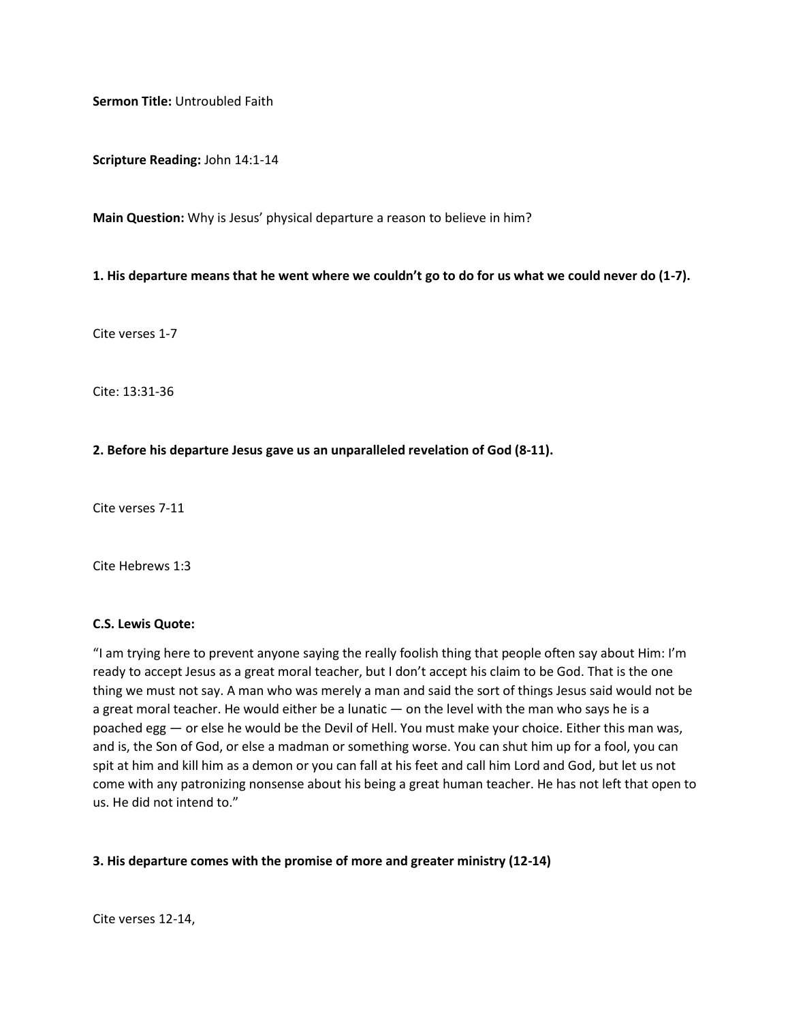**Sermon Title:** Untroubled Faith

**Scripture Reading:** John 14:1-14

**Main Question:** Why is Jesus' physical departure a reason to believe in him?

## **1. His departure means that he went where we couldn't go to do for us what we could never do (1-7).**

Cite verses 1-7

Cite: 13:31-36

## **2. Before his departure Jesus gave us an unparalleled revelation of God (8-11).**

Cite verses 7-11

Cite Hebrews 1:3

## **C.S. Lewis Quote:**

"I am trying here to prevent anyone saying the really foolish thing that people often say about Him: I'm ready to accept Jesus as a great moral teacher, but I don't accept his claim to be God. That is the one thing we must not say. A man who was merely a man and said the sort of things Jesus said would not be a great moral teacher. He would either be a lunatic — on the level with the man who says he is a poached egg — or else he would be the Devil of Hell. You must make your choice. Either this man was, and is, the Son of God, or else a madman or something worse. You can shut him up for a fool, you can spit at him and kill him as a demon or you can fall at his feet and call him Lord and God, but let us not come with any patronizing nonsense about his being a great human teacher. He has not left that open to us. He did not intend to."

## **3. His departure comes with the promise of more and greater ministry (12-14)**

Cite verses 12-14,